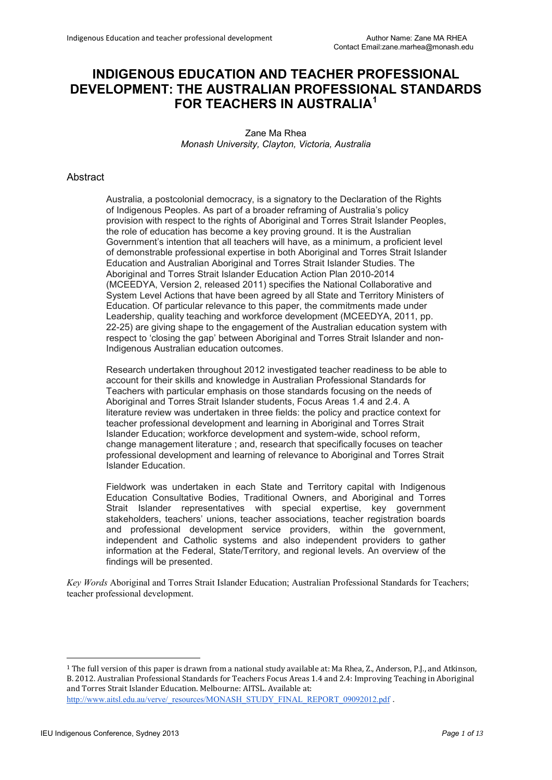# **INDIGENOUS EDUCATION AND TEACHER PROFESSIONAL DEVELOPMENT: THE AUSTRALIAN PROFESSIONAL STANDARDS FOR TEACHERS IN AUSTRALIA[1](#page-0-0)**

Zane Ma Rhea *Monash University, Clayton, Victoria, Australia*

### Abstract

Australia, a postcolonial democracy, is a signatory to the Declaration of the Rights of Indigenous Peoples. As part of a broader reframing of Australia's policy provision with respect to the rights of Aboriginal and Torres Strait Islander Peoples, the role of education has become a key proving ground. It is the Australian Government's intention that all teachers will have, as a minimum, a proficient level of demonstrable professional expertise in both Aboriginal and Torres Strait Islander Education and Australian Aboriginal and Torres Strait Islander Studies. The Aboriginal and Torres Strait Islander Education Action Plan 2010-2014 (MCEEDYA, Version 2, released 2011) specifies the National Collaborative and System Level Actions that have been agreed by all State and Territory Ministers of Education. Of particular relevance to this paper, the commitments made under Leadership, quality teaching and workforce development (MCEEDYA, 2011, pp. 22-25) are giving shape to the engagement of the Australian education system with respect to 'closing the gap' between Aboriginal and Torres Strait Islander and non-Indigenous Australian education outcomes.

Research undertaken throughout 2012 investigated teacher readiness to be able to account for their skills and knowledge in Australian Professional Standards for Teachers with particular emphasis on those standards focusing on the needs of Aboriginal and Torres Strait Islander students, Focus Areas 1.4 and 2.4. A literature review was undertaken in three fields: the policy and practice context for teacher professional development and learning in Aboriginal and Torres Strait Islander Education; workforce development and system-wide, school reform, change management literature ; and, research that specifically focuses on teacher professional development and learning of relevance to Aboriginal and Torres Strait Islander Education.

Fieldwork was undertaken in each State and Territory capital with Indigenous Education Consultative Bodies, Traditional Owners, and Aboriginal and Torres Strait Islander representatives with special expertise, key government stakeholders, teachers' unions, teacher associations, teacher registration boards and professional development service providers, within the government, independent and Catholic systems and also independent providers to gather information at the Federal, State/Territory, and regional levels. An overview of the findings will be presented.

*Key Words* Aboriginal and Torres Strait Islander Education; Australian Professional Standards for Teachers; teacher professional development.

!!!!!!!!!!!!!!!!!!!!!!!!!!!!!!!!!!!!!!!!!!!!!!!!!!!!!!!

<span id="page-0-0"></span> $1$  The full version of this paper is drawn from a national study available at: Ma Rhea, Z., Anderson, P.I., and Atkinson, B. 2012. Australian Professional Standards for Teachers Focus Areas 1.4 and 2.4: Improving Teaching in Aboriginal and Torres Strait Islander Education. Melbourne: AITSL. Available at: [http://www.aitsl.edu.au/verve/\\_resources/MONASH\\_STUDY\\_FINAL\\_REPORT\\_09092012.pdf](http://www.aitsl.edu.au/verve/_resources/MONASH_STUDY_FINAL_REPORT_09092012.pdf) .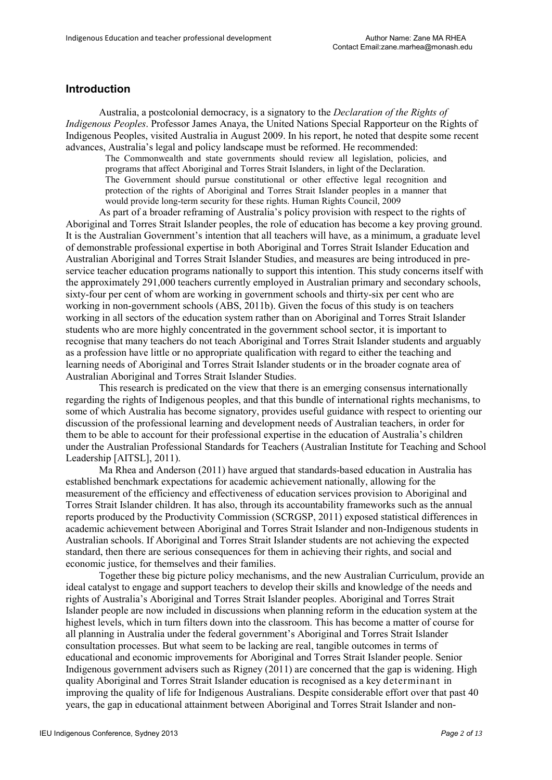# **Introduction**

Australia, a postcolonial democracy, is a signatory to the *Declaration of the Rights of Indigenous Peoples*. Professor James Anaya, the United Nations Special Rapporteur on the Rights of Indigenous Peoples, visited Australia in August 2009. In his report, he noted that despite some recent advances, Australia's legal and policy landscape must be reformed. He recommended:

The Commonwealth and state governments should review all legislation, policies, and programs that affect Aboriginal and Torres Strait Islanders, in light of the Declaration. The Government should pursue constitutional or other effective legal recognition and protection of the rights of Aboriginal and Torres Strait Islander peoples in a manner that would provide long-term security for these rights. Human Rights Council, 2009

As part of a broader reframing of Australia's policy provision with respect to the rights of Aboriginal and Torres Strait Islander peoples, the role of education has become a key proving ground. It is the Australian Government's intention that all teachers will have, as a minimum, a graduate level of demonstrable professional expertise in both Aboriginal and Torres Strait Islander Education and Australian Aboriginal and Torres Strait Islander Studies, and measures are being introduced in preservice teacher education programs nationally to support this intention. This study concerns itself with the approximately 291,000 teachers currently employed in Australian primary and secondary schools, sixty-four per cent of whom are working in government schools and thirty-six per cent who are working in non-government schools (ABS, 2011b). Given the focus of this study is on teachers working in all sectors of the education system rather than on Aboriginal and Torres Strait Islander students who are more highly concentrated in the government school sector, it is important to recognise that many teachers do not teach Aboriginal and Torres Strait Islander students and arguably as a profession have little or no appropriate qualification with regard to either the teaching and learning needs of Aboriginal and Torres Strait Islander students or in the broader cognate area of Australian Aboriginal and Torres Strait Islander Studies.

This research is predicated on the view that there is an emerging consensus internationally regarding the rights of Indigenous peoples, and that this bundle of international rights mechanisms, to some of which Australia has become signatory, provides useful guidance with respect to orienting our discussion of the professional learning and development needs of Australian teachers, in order for them to be able to account for their professional expertise in the education of Australia's children under the Australian Professional Standards for Teachers (Australian Institute for Teaching and School Leadership [AITSL], 2011).

Ma Rhea and Anderson (2011) have argued that standards-based education in Australia has established benchmark expectations for academic achievement nationally, allowing for the measurement of the efficiency and effectiveness of education services provision to Aboriginal and Torres Strait Islander children. It has also, through its accountability frameworks such as the annual reports produced by the Productivity Commission (SCRGSP, 2011) exposed statistical differences in academic achievement between Aboriginal and Torres Strait Islander and non-Indigenous students in Australian schools. If Aboriginal and Torres Strait Islander students are not achieving the expected standard, then there are serious consequences for them in achieving their rights, and social and economic justice, for themselves and their families.

Together these big picture policy mechanisms, and the new Australian Curriculum, provide an ideal catalyst to engage and support teachers to develop their skills and knowledge of the needs and rights of Australia's Aboriginal and Torres Strait Islander peoples. Aboriginal and Torres Strait Islander people are now included in discussions when planning reform in the education system at the highest levels, which in turn filters down into the classroom. This has become a matter of course for all planning in Australia under the federal government's Aboriginal and Torres Strait Islander consultation processes. But what seem to be lacking are real, tangible outcomes in terms of educational and economic improvements for Aboriginal and Torres Strait Islander people. Senior Indigenous government advisers such as Rigney (2011) are concerned that the gap is widening. High quality Aboriginal and Torres Strait Islander education is recognised as a key determinant in improving the quality of life for Indigenous Australians. Despite considerable effort over that past 40 years, the gap in educational attainment between Aboriginal and Torres Strait Islander and non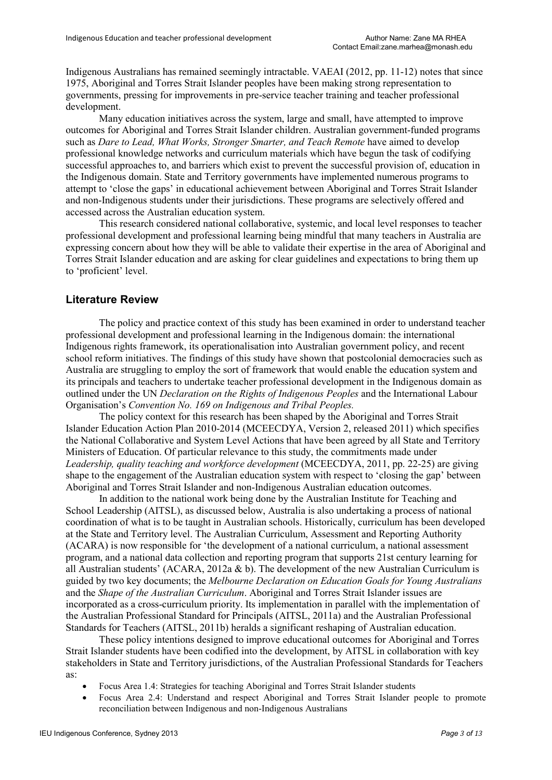Indigenous Australians has remained seemingly intractable. VAEAI (2012, pp. 11-12) notes that since 1975, Aboriginal and Torres Strait Islander peoples have been making strong representation to governments, pressing for improvements in pre-service teacher training and teacher professional development.

Many education initiatives across the system, large and small, have attempted to improve outcomes for Aboriginal and Torres Strait Islander children. Australian government-funded programs such as *Dare to Lead, What Works, Stronger Smarter, and Teach Remote* have aimed to develop professional knowledge networks and curriculum materials which have begun the task of codifying successful approaches to, and barriers which exist to prevent the successful provision of, education in the Indigenous domain. State and Territory governments have implemented numerous programs to attempt to 'close the gaps' in educational achievement between Aboriginal and Torres Strait Islander and non-Indigenous students under their jurisdictions. These programs are selectively offered and accessed across the Australian education system.

This research considered national collaborative, systemic, and local level responses to teacher professional development and professional learning being mindful that many teachers in Australia are expressing concern about how they will be able to validate their expertise in the area of Aboriginal and Torres Strait Islander education and are asking for clear guidelines and expectations to bring them up to 'proficient' level.

# **Literature Review**

The policy and practice context of this study has been examined in order to understand teacher professional development and professional learning in the Indigenous domain: the international Indigenous rights framework, its operationalisation into Australian government policy, and recent school reform initiatives. The findings of this study have shown that postcolonial democracies such as Australia are struggling to employ the sort of framework that would enable the education system and its principals and teachers to undertake teacher professional development in the Indigenous domain as outlined under the UN *Declaration on the Rights of Indigenous Peoples* and the International Labour Organisation's *Convention No. 169 on Indigenous and Tribal Peoples.*

The policy context for this research has been shaped by the Aboriginal and Torres Strait Islander Education Action Plan 2010-2014 (MCEECDYA, Version 2, released 2011) which specifies the National Collaborative and System Level Actions that have been agreed by all State and Territory Ministers of Education. Of particular relevance to this study, the commitments made under *Leadership, quality teaching and workforce development* (MCEECDYA, 2011, pp. 22-25) are giving shape to the engagement of the Australian education system with respect to 'closing the gap' between Aboriginal and Torres Strait Islander and non-Indigenous Australian education outcomes.

In addition to the national work being done by the Australian Institute for Teaching and School Leadership (AITSL), as discussed below, Australia is also undertaking a process of national coordination of what is to be taught in Australian schools. Historically, curriculum has been developed at the State and Territory level. The Australian Curriculum, Assessment and Reporting Authority (ACARA) is now responsible for 'the development of a national curriculum, a national assessment program, and a national data collection and reporting program that supports 21st century learning for all Australian students' (ACARA, 2012a  $\⊂>$  b). The development of the new Australian Curriculum is guided by two key documents; the *Melbourne Declaration on Education Goals for Young Australians* and the *Shape of the Australian Curriculum*. Aboriginal and Torres Strait Islander issues are incorporated as a cross-curriculum priority. Its implementation in parallel with the implementation of the Australian Professional Standard for Principals (AITSL, 2011a) and the Australian Professional Standards for Teachers (AITSL, 2011b) heralds a significant reshaping of Australian education.

These policy intentions designed to improve educational outcomes for Aboriginal and Torres Strait Islander students have been codified into the development, by AITSL in collaboration with key stakeholders in State and Territory jurisdictions, of the Australian Professional Standards for Teachers as:

- x Focus Area 1.4: Strategies for teaching Aboriginal and Torres Strait Islander students
- Focus Area 2.4: Understand and respect Aboriginal and Torres Strait Islander people to promote reconciliation between Indigenous and non-Indigenous Australians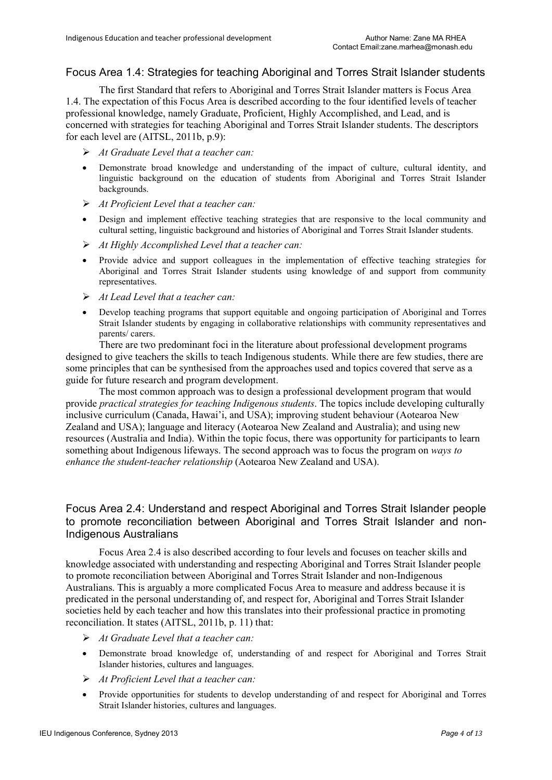# Focus Area 1.4: Strategies for teaching Aboriginal and Torres Strait Islander students

The first Standard that refers to Aboriginal and Torres Strait Islander matters is Focus Area 1.4. The expectation of this Focus Area is described according to the four identified levels of teacher professional knowledge, namely Graduate, Proficient, Highly Accomplished, and Lead, and is concerned with strategies for teaching Aboriginal and Torres Strait Islander students. The descriptors for each level are (AITSL, 2011b, p.9):

- ¾ *At Graduate Level that a teacher can:*
- Demonstrate broad knowledge and understanding of the impact of culture, cultural identity, and linguistic background on the education of students from Aboriginal and Torres Strait Islander backgrounds.
- ¾ *At Proficient Level that a teacher can:*
- Design and implement effective teaching strategies that are responsive to the local community and cultural setting, linguistic background and histories of Aboriginal and Torres Strait Islander students.
- ¾ *At Highly Accomplished Level that a teacher can:*
- Provide advice and support colleagues in the implementation of effective teaching strategies for Aboriginal and Torres Strait Islander students using knowledge of and support from community representatives.
- ¾ *At Lead Level that a teacher can:*
- Develop teaching programs that support equitable and ongoing participation of Aboriginal and Torres Strait Islander students by engaging in collaborative relationships with community representatives and parents/ carers.

There are two predominant foci in the literature about professional development programs designed to give teachers the skills to teach Indigenous students. While there are few studies, there are some principles that can be synthesised from the approaches used and topics covered that serve as a guide for future research and program development.

The most common approach was to design a professional development program that would provide *practical strategies for teaching Indigenous students*. The topics include developing culturally inclusive curriculum (Canada, Hawai'i, and USA); improving student behaviour (Aotearoa New Zealand and USA); language and literacy (Aotearoa New Zealand and Australia); and using new resources (Australia and India). Within the topic focus, there was opportunity for participants to learn something about Indigenous lifeways. The second approach was to focus the program on *ways to enhance the student-teacher relationship* (Aotearoa New Zealand and USA).

# Focus Area 2.4: Understand and respect Aboriginal and Torres Strait Islander people to promote reconciliation between Aboriginal and Torres Strait Islander and non-Indigenous Australians

Focus Area 2.4 is also described according to four levels and focuses on teacher skills and knowledge associated with understanding and respecting Aboriginal and Torres Strait Islander people to promote reconciliation between Aboriginal and Torres Strait Islander and non-Indigenous Australians. This is arguably a more complicated Focus Area to measure and address because it is predicated in the personal understanding of, and respect for, Aboriginal and Torres Strait Islander societies held by each teacher and how this translates into their professional practice in promoting reconciliation. It states (AITSL, 2011b, p. 11) that:

- ¾ *At Graduate Level that a teacher can:*
- Demonstrate broad knowledge of, understanding of and respect for Aboriginal and Torres Strait Islander histories, cultures and languages.
- ¾ *At Proficient Level that a teacher can:*
- Provide opportunities for students to develop understanding of and respect for Aboriginal and Torres Strait Islander histories, cultures and languages.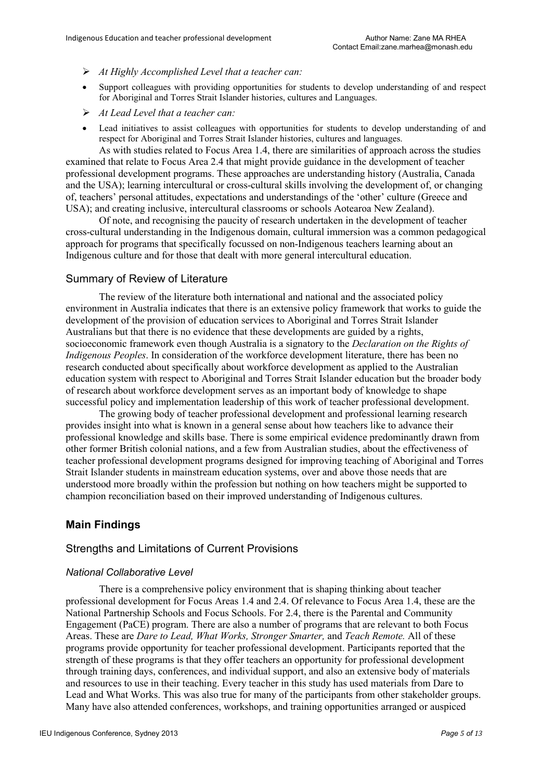- ¾ *At Highly Accomplished Level that a teacher can:*
- Support colleagues with providing opportunities for students to develop understanding of and respect for Aboriginal and Torres Strait Islander histories, cultures and Languages.
- ¾ *At Lead Level that a teacher can:*
- Lead initiatives to assist colleagues with opportunities for students to develop understanding of and respect for Aboriginal and Torres Strait Islander histories, cultures and languages.

As with studies related to Focus Area 1.4, there are similarities of approach across the studies examined that relate to Focus Area 2.4 that might provide guidance in the development of teacher professional development programs. These approaches are understanding history (Australia, Canada and the USA); learning intercultural or cross-cultural skills involving the development of, or changing of, teachers' personal attitudes, expectations and understandings of the 'other' culture (Greece and USA); and creating inclusive, intercultural classrooms or schools Aotearoa New Zealand).

Of note, and recognising the paucity of research undertaken in the development of teacher cross-cultural understanding in the Indigenous domain, cultural immersion was a common pedagogical approach for programs that specifically focussed on non-Indigenous teachers learning about an Indigenous culture and for those that dealt with more general intercultural education.

### Summary of Review of Literature

The review of the literature both international and national and the associated policy environment in Australia indicates that there is an extensive policy framework that works to guide the development of the provision of education services to Aboriginal and Torres Strait Islander Australians but that there is no evidence that these developments are guided by a rights, socioeconomic framework even though Australia is a signatory to the *Declaration on the Rights of Indigenous Peoples*. In consideration of the workforce development literature, there has been no research conducted about specifically about workforce development as applied to the Australian education system with respect to Aboriginal and Torres Strait Islander education but the broader body of research about workforce development serves as an important body of knowledge to shape successful policy and implementation leadership of this work of teacher professional development.

The growing body of teacher professional development and professional learning research provides insight into what is known in a general sense about how teachers like to advance their professional knowledge and skills base. There is some empirical evidence predominantly drawn from other former British colonial nations, and a few from Australian studies, about the effectiveness of teacher professional development programs designed for improving teaching of Aboriginal and Torres Strait Islander students in mainstream education systems, over and above those needs that are understood more broadly within the profession but nothing on how teachers might be supported to champion reconciliation based on their improved understanding of Indigenous cultures.

# **Main Findings**

# Strengths and Limitations of Current Provisions

### *National Collaborative Level*

There is a comprehensive policy environment that is shaping thinking about teacher professional development for Focus Areas 1.4 and 2.4. Of relevance to Focus Area 1.4, these are the National Partnership Schools and Focus Schools. For 2.4, there is the Parental and Community Engagement (PaCE) program. There are also a number of programs that are relevant to both Focus Areas. These are *Dare to Lead, What Works, Stronger Smarter,* and *Teach Remote.* All of these programs provide opportunity for teacher professional development. Participants reported that the strength of these programs is that they offer teachers an opportunity for professional development through training days, conferences, and individual support, and also an extensive body of materials and resources to use in their teaching. Every teacher in this study has used materials from Dare to Lead and What Works. This was also true for many of the participants from other stakeholder groups. Many have also attended conferences, workshops, and training opportunities arranged or auspiced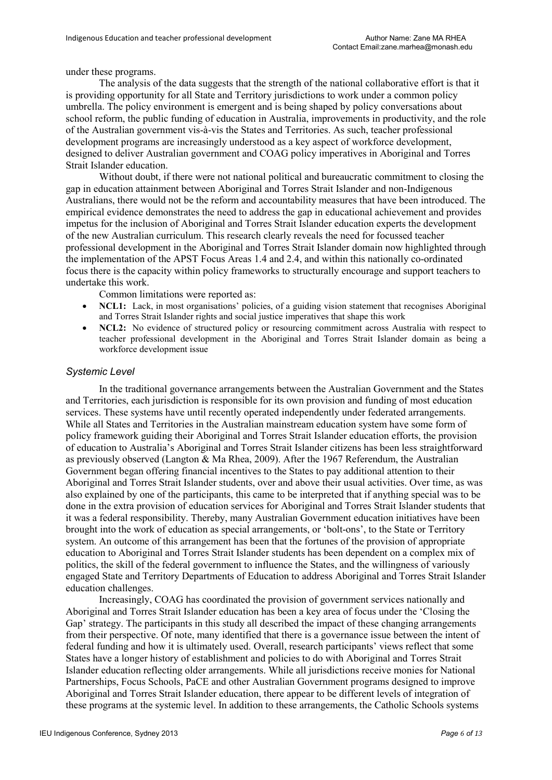under these programs.

The analysis of the data suggests that the strength of the national collaborative effort is that it is providing opportunity for all State and Territory jurisdictions to work under a common policy umbrella. The policy environment is emergent and is being shaped by policy conversations about school reform, the public funding of education in Australia, improvements in productivity, and the role of the Australian government vis-à-vis the States and Territories. As such, teacher professional development programs are increasingly understood as a key aspect of workforce development, designed to deliver Australian government and COAG policy imperatives in Aboriginal and Torres Strait Islander education.

Without doubt, if there were not national political and bureaucratic commitment to closing the gap in education attainment between Aboriginal and Torres Strait Islander and non-Indigenous Australians, there would not be the reform and accountability measures that have been introduced. The empirical evidence demonstrates the need to address the gap in educational achievement and provides impetus for the inclusion of Aboriginal and Torres Strait Islander education experts the development of the new Australian curriculum. This research clearly reveals the need for focussed teacher professional development in the Aboriginal and Torres Strait Islander domain now highlighted through the implementation of the APST Focus Areas 1.4 and 2.4, and within this nationally co-ordinated focus there is the capacity within policy frameworks to structurally encourage and support teachers to undertake this work.

Common limitations were reported as:

- NCL1: Lack, in most organisations' policies, of a guiding vision statement that recognises Aboriginal and Torres Strait Islander rights and social justice imperatives that shape this work
- **NCL2:** No evidence of structured policy or resourcing commitment across Australia with respect to teacher professional development in the Aboriginal and Torres Strait Islander domain as being a workforce development issue

#### *Systemic Level*

In the traditional governance arrangements between the Australian Government and the States and Territories, each jurisdiction is responsible for its own provision and funding of most education services. These systems have until recently operated independently under federated arrangements. While all States and Territories in the Australian mainstream education system have some form of policy framework guiding their Aboriginal and Torres Strait Islander education efforts, the provision of education to Australia's Aboriginal and Torres Strait Islander citizens has been less straightforward as previously observed (Langton & Ma Rhea, 2009). After the 1967 Referendum, the Australian Government began offering financial incentives to the States to pay additional attention to their Aboriginal and Torres Strait Islander students, over and above their usual activities. Over time, as was also explained by one of the participants, this came to be interpreted that if anything special was to be done in the extra provision of education services for Aboriginal and Torres Strait Islander students that it was a federal responsibility. Thereby, many Australian Government education initiatives have been brought into the work of education as special arrangements, or 'bolt-ons', to the State or Territory system. An outcome of this arrangement has been that the fortunes of the provision of appropriate education to Aboriginal and Torres Strait Islander students has been dependent on a complex mix of politics, the skill of the federal government to influence the States, and the willingness of variously engaged State and Territory Departments of Education to address Aboriginal and Torres Strait Islander education challenges.

Increasingly, COAG has coordinated the provision of government services nationally and Aboriginal and Torres Strait Islander education has been a key area of focus under the 'Closing the Gap' strategy. The participants in this study all described the impact of these changing arrangements from their perspective. Of note, many identified that there is a governance issue between the intent of federal funding and how it is ultimately used. Overall, research participants' views reflect that some States have a longer history of establishment and policies to do with Aboriginal and Torres Strait Islander education reflecting older arrangements. While all jurisdictions receive monies for National Partnerships, Focus Schools, PaCE and other Australian Government programs designed to improve Aboriginal and Torres Strait Islander education, there appear to be different levels of integration of these programs at the systemic level. In addition to these arrangements, the Catholic Schools systems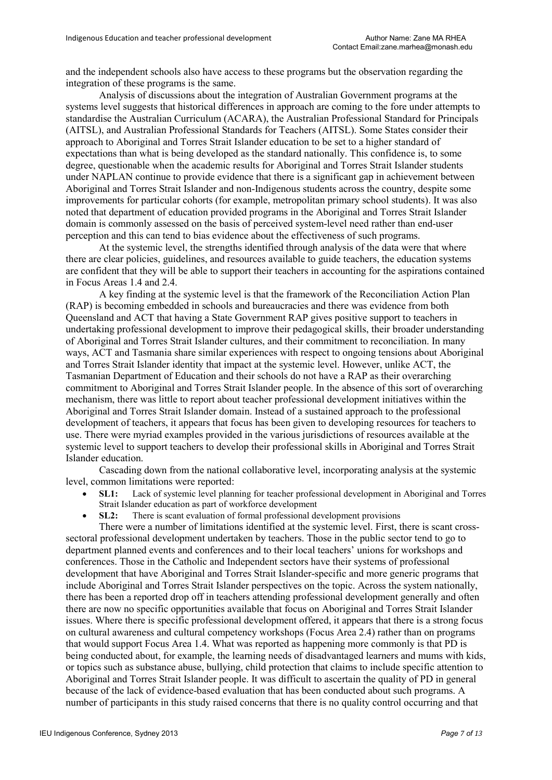and the independent schools also have access to these programs but the observation regarding the integration of these programs is the same.

Analysis of discussions about the integration of Australian Government programs at the systems level suggests that historical differences in approach are coming to the fore under attempts to standardise the Australian Curriculum (ACARA), the Australian Professional Standard for Principals (AITSL), and Australian Professional Standards for Teachers (AITSL). Some States consider their approach to Aboriginal and Torres Strait Islander education to be set to a higher standard of expectations than what is being developed as the standard nationally. This confidence is, to some degree, questionable when the academic results for Aboriginal and Torres Strait Islander students under NAPLAN continue to provide evidence that there is a significant gap in achievement between Aboriginal and Torres Strait Islander and non-Indigenous students across the country, despite some improvements for particular cohorts (for example, metropolitan primary school students). It was also noted that department of education provided programs in the Aboriginal and Torres Strait Islander domain is commonly assessed on the basis of perceived system-level need rather than end-user perception and this can tend to bias evidence about the effectiveness of such programs.

At the systemic level, the strengths identified through analysis of the data were that where there are clear policies, guidelines, and resources available to guide teachers, the education systems are confident that they will be able to support their teachers in accounting for the aspirations contained in Focus Areas 1.4 and 2.4.

A key finding at the systemic level is that the framework of the Reconciliation Action Plan (RAP) is becoming embedded in schools and bureaucracies and there was evidence from both Queensland and ACT that having a State Government RAP gives positive support to teachers in undertaking professional development to improve their pedagogical skills, their broader understanding of Aboriginal and Torres Strait Islander cultures, and their commitment to reconciliation. In many ways, ACT and Tasmania share similar experiences with respect to ongoing tensions about Aboriginal and Torres Strait Islander identity that impact at the systemic level. However, unlike ACT, the Tasmanian Department of Education and their schools do not have a RAP as their overarching commitment to Aboriginal and Torres Strait Islander people. In the absence of this sort of overarching mechanism, there was little to report about teacher professional development initiatives within the Aboriginal and Torres Strait Islander domain. Instead of a sustained approach to the professional development of teachers, it appears that focus has been given to developing resources for teachers to use. There were myriad examples provided in the various jurisdictions of resources available at the systemic level to support teachers to develop their professional skills in Aboriginal and Torres Strait Islander education.

Cascading down from the national collaborative level, incorporating analysis at the systemic level, common limitations were reported:

- x **SL1:** Lack of systemic level planning for teacher professional development in Aboriginal and Torres Strait Islander education as part of workforce development
- **SL2:** There is scant evaluation of formal professional development provisions

There were a number of limitations identified at the systemic level. First, there is scant crosssectoral professional development undertaken by teachers. Those in the public sector tend to go to department planned events and conferences and to their local teachers' unions for workshops and conferences. Those in the Catholic and Independent sectors have their systems of professional development that have Aboriginal and Torres Strait Islander-specific and more generic programs that include Aboriginal and Torres Strait Islander perspectives on the topic. Across the system nationally, there has been a reported drop off in teachers attending professional development generally and often there are now no specific opportunities available that focus on Aboriginal and Torres Strait Islander issues. Where there is specific professional development offered, it appears that there is a strong focus on cultural awareness and cultural competency workshops (Focus Area 2.4) rather than on programs that would support Focus Area 1.4. What was reported as happening more commonly is that PD is being conducted about, for example, the learning needs of disadvantaged learners and mums with kids, or topics such as substance abuse, bullying, child protection that claims to include specific attention to Aboriginal and Torres Strait Islander people. It was difficult to ascertain the quality of PD in general because of the lack of evidence-based evaluation that has been conducted about such programs. A number of participants in this study raised concerns that there is no quality control occurring and that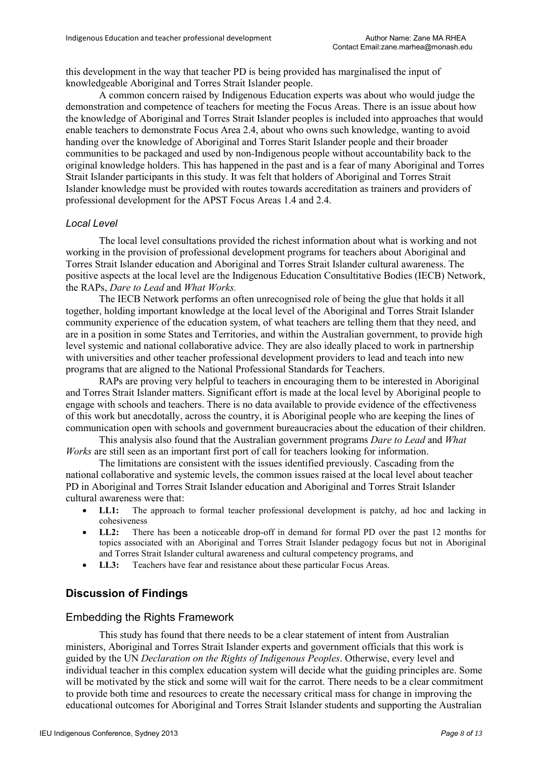this development in the way that teacher PD is being provided has marginalised the input of knowledgeable Aboriginal and Torres Strait Islander people.

A common concern raised by Indigenous Education experts was about who would judge the demonstration and competence of teachers for meeting the Focus Areas. There is an issue about how the knowledge of Aboriginal and Torres Strait Islander peoples is included into approaches that would enable teachers to demonstrate Focus Area 2.4, about who owns such knowledge, wanting to avoid handing over the knowledge of Aboriginal and Torres Starit Islander people and their broader communities to be packaged and used by non-Indigenous people without accountability back to the original knowledge holders. This has happened in the past and is a fear of many Aboriginal and Torres Strait Islander participants in this study. It was felt that holders of Aboriginal and Torres Strait Islander knowledge must be provided with routes towards accreditation as trainers and providers of professional development for the APST Focus Areas 1.4 and 2.4.

#### *Local Level*

The local level consultations provided the richest information about what is working and not working in the provision of professional development programs for teachers about Aboriginal and Torres Strait Islander education and Aboriginal and Torres Strait Islander cultural awareness. The positive aspects at the local level are the Indigenous Education Consultitative Bodies (IECB) Network, the RAPs, *Dare to Lead* and *What Works.*

The IECB Network performs an often unrecognised role of being the glue that holds it all together, holding important knowledge at the local level of the Aboriginal and Torres Strait Islander community experience of the education system, of what teachers are telling them that they need, and are in a position in some States and Territories, and within the Australian government, to provide high level systemic and national collaborative advice. They are also ideally placed to work in partnership with universities and other teacher professional development providers to lead and teach into new programs that are aligned to the National Professional Standards for Teachers.

RAPs are proving very helpful to teachers in encouraging them to be interested in Aboriginal and Torres Strait Islander matters. Significant effort is made at the local level by Aboriginal people to engage with schools and teachers. There is no data available to provide evidence of the effectiveness of this work but anecdotally, across the country, it is Aboriginal people who are keeping the lines of communication open with schools and government bureaucracies about the education of their children.

This analysis also found that the Australian government programs *Dare to Lead* and *What Works* are still seen as an important first port of call for teachers looking for information.

The limitations are consistent with the issues identified previously. Cascading from the national collaborative and systemic levels, the common issues raised at the local level about teacher PD in Aboriginal and Torres Strait Islander education and Aboriginal and Torres Strait Islander cultural awareness were that:

- **LL1:** The approach to formal teacher professional development is patchy, ad hoc and lacking in cohesiveness
- LL2: There has been a noticeable drop-off in demand for formal PD over the past 12 months for topics associated with an Aboriginal and Torres Strait Islander pedagogy focus but not in Aboriginal and Torres Strait Islander cultural awareness and cultural competency programs, and
- LL3: Teachers have fear and resistance about these particular Focus Areas.

# **Discussion of Findings**

### Embedding the Rights Framework

This study has found that there needs to be a clear statement of intent from Australian ministers, Aboriginal and Torres Strait Islander experts and government officials that this work is guided by the UN *Declaration on the Rights of Indigenous Peoples*. Otherwise, every level and individual teacher in this complex education system will decide what the guiding principles are. Some will be motivated by the stick and some will wait for the carrot. There needs to be a clear commitment to provide both time and resources to create the necessary critical mass for change in improving the educational outcomes for Aboriginal and Torres Strait Islander students and supporting the Australian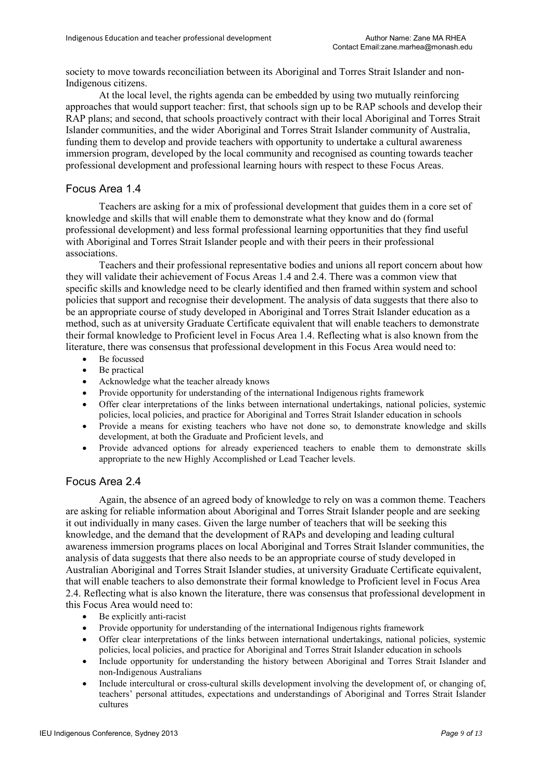society to move towards reconciliation between its Aboriginal and Torres Strait Islander and non-Indigenous citizens.

At the local level, the rights agenda can be embedded by using two mutually reinforcing approaches that would support teacher: first, that schools sign up to be RAP schools and develop their RAP plans; and second, that schools proactively contract with their local Aboriginal and Torres Strait Islander communities, and the wider Aboriginal and Torres Strait Islander community of Australia, funding them to develop and provide teachers with opportunity to undertake a cultural awareness immersion program, developed by the local community and recognised as counting towards teacher professional development and professional learning hours with respect to these Focus Areas.

## Focus Area 1.4

Teachers are asking for a mix of professional development that guides them in a core set of knowledge and skills that will enable them to demonstrate what they know and do (formal professional development) and less formal professional learning opportunities that they find useful with Aboriginal and Torres Strait Islander people and with their peers in their professional associations.

Teachers and their professional representative bodies and unions all report concern about how they will validate their achievement of Focus Areas 1.4 and 2.4. There was a common view that specific skills and knowledge need to be clearly identified and then framed within system and school policies that support and recognise their development. The analysis of data suggests that there also to be an appropriate course of study developed in Aboriginal and Torres Strait Islander education as a method, such as at university Graduate Certificate equivalent that will enable teachers to demonstrate their formal knowledge to Proficient level in Focus Area 1.4. Reflecting what is also known from the literature, there was consensus that professional development in this Focus Area would need to:

- Be focussed
- $\bullet$  Be practical
- Acknowledge what the teacher already knows
- Provide opportunity for understanding of the international Indigenous rights framework
- Offer clear interpretations of the links between international undertakings, national policies, systemic policies, local policies, and practice for Aboriginal and Torres Strait Islander education in schools
- Provide a means for existing teachers who have not done so, to demonstrate knowledge and skills development, at both the Graduate and Proficient levels, and
- Provide advanced options for already experienced teachers to enable them to demonstrate skills appropriate to the new Highly Accomplished or Lead Teacher levels.

### Focus Area 2.4

Again, the absence of an agreed body of knowledge to rely on was a common theme. Teachers are asking for reliable information about Aboriginal and Torres Strait Islander people and are seeking it out individually in many cases. Given the large number of teachers that will be seeking this knowledge, and the demand that the development of RAPs and developing and leading cultural awareness immersion programs places on local Aboriginal and Torres Strait Islander communities, the analysis of data suggests that there also needs to be an appropriate course of study developed in Australian Aboriginal and Torres Strait Islander studies, at university Graduate Certificate equivalent, that will enable teachers to also demonstrate their formal knowledge to Proficient level in Focus Area 2.4. Reflecting what is also known the literature, there was consensus that professional development in this Focus Area would need to:

- $\bullet$  Be explicitly anti-racist
- Provide opportunity for understanding of the international Indigenous rights framework
- Offer clear interpretations of the links between international undertakings, national policies, systemic policies, local policies, and practice for Aboriginal and Torres Strait Islander education in schools
- Include opportunity for understanding the history between Aboriginal and Torres Strait Islander and non-Indigenous Australians
- Include intercultural or cross-cultural skills development involving the development of, or changing of, teachers' personal attitudes, expectations and understandings of Aboriginal and Torres Strait Islander cultures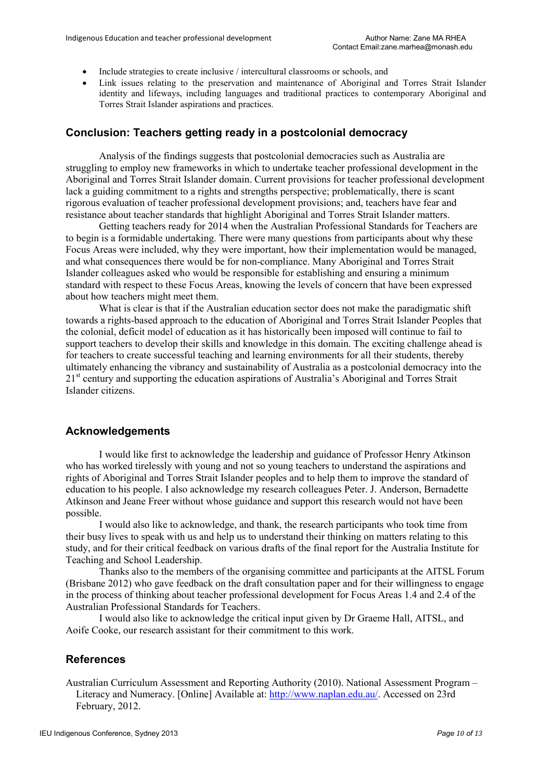- Include strategies to create inclusive / intercultural classrooms or schools, and
- Link issues relating to the preservation and maintenance of Aboriginal and Torres Strait Islander identity and lifeways, including languages and traditional practices to contemporary Aboriginal and Torres Strait Islander aspirations and practices.

### **Conclusion: Teachers getting ready in a postcolonial democracy**

Analysis of the findings suggests that postcolonial democracies such as Australia are struggling to employ new frameworks in which to undertake teacher professional development in the Aboriginal and Torres Strait Islander domain. Current provisions for teacher professional development lack a guiding commitment to a rights and strengths perspective; problematically, there is scant rigorous evaluation of teacher professional development provisions; and, teachers have fear and resistance about teacher standards that highlight Aboriginal and Torres Strait Islander matters.

Getting teachers ready for 2014 when the Australian Professional Standards for Teachers are to begin is a formidable undertaking. There were many questions from participants about why these Focus Areas were included, why they were important, how their implementation would be managed, and what consequences there would be for non-compliance. Many Aboriginal and Torres Strait Islander colleagues asked who would be responsible for establishing and ensuring a minimum standard with respect to these Focus Areas, knowing the levels of concern that have been expressed about how teachers might meet them.

What is clear is that if the Australian education sector does not make the paradigmatic shift towards a rights-based approach to the education of Aboriginal and Torres Strait Islander Peoples that the colonial, deficit model of education as it has historically been imposed will continue to fail to support teachers to develop their skills and knowledge in this domain. The exciting challenge ahead is for teachers to create successful teaching and learning environments for all their students, thereby ultimately enhancing the vibrancy and sustainability of Australia as a postcolonial democracy into the 21<sup>st</sup> century and supporting the education aspirations of Australia's Aboriginal and Torres Strait Islander citizens.

### **Acknowledgements**

I would like first to acknowledge the leadership and guidance of Professor Henry Atkinson who has worked tirelessly with young and not so young teachers to understand the aspirations and rights of Aboriginal and Torres Strait Islander peoples and to help them to improve the standard of education to his people. I also acknowledge my research colleagues Peter. J. Anderson, Bernadette Atkinson and Jeane Freer without whose guidance and support this research would not have been possible.

I would also like to acknowledge, and thank, the research participants who took time from their busy lives to speak with us and help us to understand their thinking on matters relating to this study, and for their critical feedback on various drafts of the final report for the Australia Institute for Teaching and School Leadership.

Thanks also to the members of the organising committee and participants at the AITSL Forum (Brisbane 2012) who gave feedback on the draft consultation paper and for their willingness to engage in the process of thinking about teacher professional development for Focus Areas 1.4 and 2.4 of the Australian Professional Standards for Teachers.

I would also like to acknowledge the critical input given by Dr Graeme Hall, AITSL, and Aoife Cooke, our research assistant for their commitment to this work.

### **References**

Australian Curriculum Assessment and Reporting Authority (2010). National Assessment Program – Literacy and Numeracy. [Online] Available at[: http://www.naplan.edu.au/.](http://www.naplan.edu.au/) Accessed on 23rd February, 2012.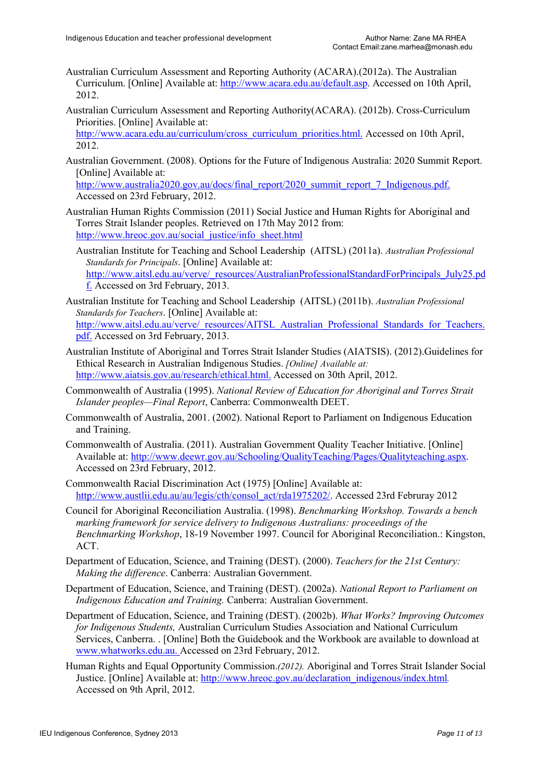- Australian Curriculum Assessment and Reporting Authority (ACARA).(2012a). The Australian Curriculum. [Online] Available at: [http://www.acara.edu.au/default.asp.](http://www.acara.edu.au/default.asp) Accessed on 10th April, 2012.
- Australian Curriculum Assessment and Reporting Authority(ACARA). (2012b). Cross-Curriculum Priorities. [Online] Available at:

[http://www.acara.edu.au/curriculum/cross\\_curriculum\\_priorities.html.](http://www.acara.edu.au/curriculum/cross_curriculum_priorities.html) Accessed on 10th April, 2012.

Australian Government. (2008). Options for the Future of Indigenous Australia: 2020 Summit Report. [Online] Available at:

[http://www.australia2020.gov.au/docs/final\\_report/2020\\_summit\\_report\\_7\\_Indigenous.pdf.](http://www.australia2020.gov.au/docs/final_report/2020_summit_report_7_indigenous.pdf) Accessed on 23rd February, 2012.

Australian Human Rights Commission (2011) Social Justice and Human Rights for Aboriginal and Torres Strait Islander peoples. Retrieved on 17th May 2012 from: [http://www.hreoc.gov.au/social\\_justice/info\\_sheet.html](http://www.hreoc.gov.au/social_justice/info_sheet.html)

Australian Institute for Teaching and School Leadership (AITSL) (2011a). *Australian Professional Standards for Principals*. [Online] Available at:

[http://www.aitsl.edu.au/verve/\\_resources/AustralianProfessionalStandardForPrincipals\\_July25.pd](http://www.aitsl.edu.au/verve/_resources/AustralianProfessionalStandardForPrincipals_July25.pdf) [f.](http://www.aitsl.edu.au/verve/_resources/AustralianProfessionalStandardForPrincipals_July25.pdf) Accessed on 3rd February, 2013.

- Australian Institute for Teaching and School Leadership (AITSL) (2011b). *Australian Professional Standards for Teachers*. [Online] Available at: [http://www.aitsl.edu.au/verve/\\_resources/AITSL\\_Australian\\_Professional\\_Standards\\_for\\_Teachers.](http://www.aitsl.edu.au/verve/_resources/AITSL_Australian_Professional_Standards_for_Teachers.pdf) [pdf.](http://www.aitsl.edu.au/verve/_resources/AITSL_Australian_Professional_Standards_for_Teachers.pdf) Accessed on 3rd February, 2013.
- Australian Institute of Aboriginal and Torres Strait Islander Studies (AIATSIS). (2012).Guidelines for Ethical Research in Australian Indigenous Studies. *[Online] Available at:*  [http://www.aiatsis.gov.au/research/ethical.html.](http://www.aiatsis.gov.au/research/ethical.html) Accessed on 30th April, 2012.
- Commonwealth of Australia (1995). *National Review of Education for Aboriginal and Torres Strait Islander peoples—Final Report*, Canberra: Commonwealth DEET.
- Commonwealth of Australia, 2001. (2002). National Report to Parliament on Indigenous Education and Training.
- Commonwealth of Australia. (2011). Australian Government Quality Teacher Initiative. [Online] Available at: [http://www.deewr.gov.au/Schooling/QualityTeaching/Pages/Qualityteaching.aspx.](http://www.deewr.gov.au/Schooling/QualityTeaching/Pages/Qualityteaching.aspx) Accessed on 23rd February, 2012.
- Commonwealth Racial Discrimination Act (1975) [Online] Available at: [http://www.austlii.edu.au/au/legis/cth/consol\\_act/rda1975202/.](http://www.austlii.edu.au/au/legis/cth/consol_act/rda1975202/) Accessed 23rd Februray 2012
- Council for Aboriginal Reconciliation Australia. (1998). *Benchmarking Workshop. Towards a bench marking framework for service delivery to Indigenous Australians: proceedings of the Benchmarking Workshop*, 18-19 November 1997. Council for Aboriginal Reconciliation.: Kingston, ACT.
- Department of Education, Science, and Training (DEST). (2000). *Teachers for the 21st Century: Making the difference*. Canberra: Australian Government.
- Department of Education, Science, and Training (DEST). (2002a). *National Report to Parliament on Indigenous Education and Training.* Canberra: Australian Government.
- Department of Education, Science, and Training (DEST). (2002b). *What Works? Improving Outcomes for Indigenous Students,* Australian Curriculum Studies Association and National Curriculum Services, Canberra. . [Online] Both the Guidebook and the Workbook are available to download at [www.whatworks.edu.au.](file://localhost/Users/daniel/Library/Caches/TemporaryItems/Outlook%20Temp//D/Work/Current%20Teaching/EDF%204513/Local%20Settings/My%20Documents/Current%20Teaching/EDF%204513/2008/Study%20Guide/www.whatworks.edu.au) Accessed on 23rd February, 2012.
- Human Rights and Equal Opportunity Commission.*(2012).* Aboriginal and Torres Strait Islander Social Justice. [Online] Available at[: http://www.hreoc.gov.au/declaration\\_indigenous/index.html](http://www.hreoc.gov.au/declaration_indigenous/index.html)*.*  Accessed on 9th April, 2012.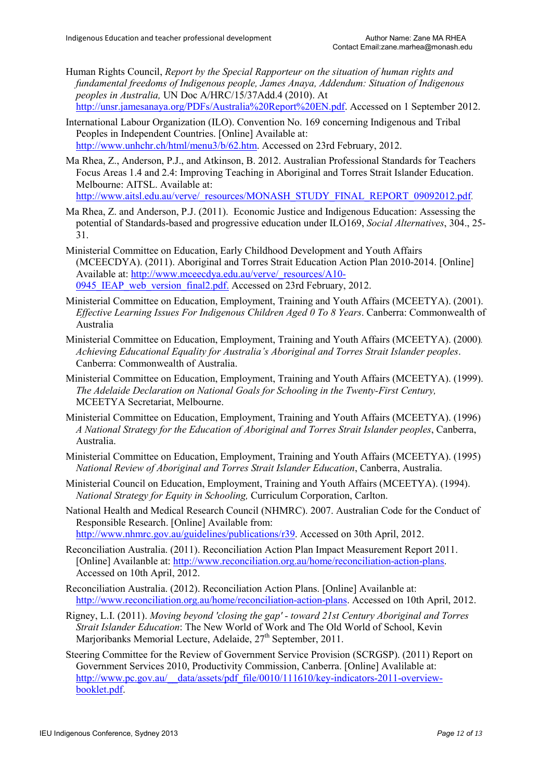- Human Rights Council, *Report by the Special Rapporteur on the situation of human rights and fundamental freedoms of Indigenous people, James Anaya, Addendum: Situation of Indigenous peoples in Australia,* UN Doc A/HRC/15/37Add.4 (2010). At [http://unsr.jamesanaya.org/PDFs/Australia%20Report%20EN.pdf.](http://unsr.jamesanaya.org/PDFs/Australia%20Report%20EN.pdf) Accessed on 1 September 2012.
- International Labour Organization (ILO). Convention No. 169 concerning Indigenous and Tribal Peoples in Independent Countries. [Online] Available at: [http://www.unhchr.ch/html/menu3/b/62.htm.](http://www.unhchr.ch/html/menu3/b/62.htm) Accessed on 23rd February, 2012.
- Ma Rhea, Z., Anderson, P.J., and Atkinson, B. 2012. Australian Professional Standards for Teachers Focus Areas 1.4 and 2.4: Improving Teaching in Aboriginal and Torres Strait Islander Education. Melbourne: AITSL. Available at: [http://www.aitsl.edu.au/verve/\\_resources/MONASH\\_STUDY\\_FINAL\\_REPORT\\_09092012.pdf.](http://www.aitsl.edu.au/verve/_resources/MONASH_STUDY_FINAL_REPORT_09092012.pdf)
- Ma Rhea, Z. and Anderson, P.J. (2011). Economic Justice and Indigenous Education: Assessing the potential of Standards-based and progressive education under ILO169, *Social Alternatives*, 304., 25- 31.
- Ministerial Committee on Education, Early Childhood Development and Youth Affairs (MCEECDYA). (2011). Aboriginal and Torres Strait Education Action Plan 2010-2014. [Online] Available at: [http://www.mceecdya.edu.au/verve/\\_resources/A10-](http://www.mceecdya.edu.au/verve/_resources/A10-0945_IEAP_web_version_final2.pdf) [0945\\_IEAP\\_web\\_version\\_final2.pdf.](http://www.mceecdya.edu.au/verve/_resources/A10-0945_IEAP_web_version_final2.pdf) Accessed on 23rd February, 2012.
- Ministerial Committee on Education, Employment, Training and Youth Affairs (MCEETYA). (2001). *Effective Learning Issues For Indigenous Children Aged 0 To 8 Years*. Canberra: Commonwealth of Australia
- Ministerial Committee on Education, Employment, Training and Youth Affairs (MCEETYA). (2000)*. Achieving Educational Equality for Australia's Aboriginal and Torres Strait Islander peoples*. Canberra: Commonwealth of Australia.
- Ministerial Committee on Education, Employment, Training and Youth Affairs (MCEETYA). (1999). *The Adelaide Declaration on National Goals for Schooling in the Twenty-First Century,* MCEETYA Secretariat, Melbourne.
- Ministerial Committee on Education, Employment, Training and Youth Affairs (MCEETYA). (1996) *A National Strategy for the Education of Aboriginal and Torres Strait Islander peoples*, Canberra, Australia.
- Ministerial Committee on Education, Employment, Training and Youth Affairs (MCEETYA). (1995) *National Review of Aboriginal and Torres Strait Islander Education*, Canberra, Australia.
- Ministerial Council on Education, Employment, Training and Youth Affairs (MCEETYA). (1994). *National Strategy for Equity in Schooling,* Curriculum Corporation, Carlton.
- National Health and Medical Research Council (NHMRC). 2007. Australian Code for the Conduct of Responsible Research. [Online] Available from:

[http://www.nhmrc.gov.au/guidelines/publications/r39.](http://www.nhmrc.gov.au/guidelines/publications/r39) Accessed on 30th April, 2012.

- Reconciliation Australia. (2011). Reconciliation Action Plan Impact Measurement Report 2011. [Online] Availanble at[: http://www.reconciliation.org.au/home/reconciliation-action-plans.](http://www.reconciliation.org.au/home/reconciliation-action-plans) Accessed on 10th April, 2012.
- Reconciliation Australia. (2012). Reconciliation Action Plans. [Online] Availanble at: [http://www.reconciliation.org.au/home/reconciliation-action-plans.](http://www.reconciliation.org.au/home/reconciliation-action-plans) Accessed on 10th April, 2012.
- Rigney, L.I. (2011). *Moving beyond 'closing the gap' - toward 21st Century Aboriginal and Torres Strait Islander Education*: The New World of Work and The Old World of School, Kevin Marjoribanks Memorial Lecture, Adelaide, 27<sup>th</sup> September, 2011.
- Steering Committee for the Review of Government Service Provision (SCRGSP). (2011) Report on Government Services 2010, Productivity Commission, Canberra. [Online] Avalilable at: http://www.pc.gov.au/ data/assets/pdf\_file/0010/111610/key-indicators-2011-overview[booklet.pdf.](http://www.pc.gov.au/__data/assets/pdf_file/0010/111610/key-indicators-2011-overview-booklet.pdf)